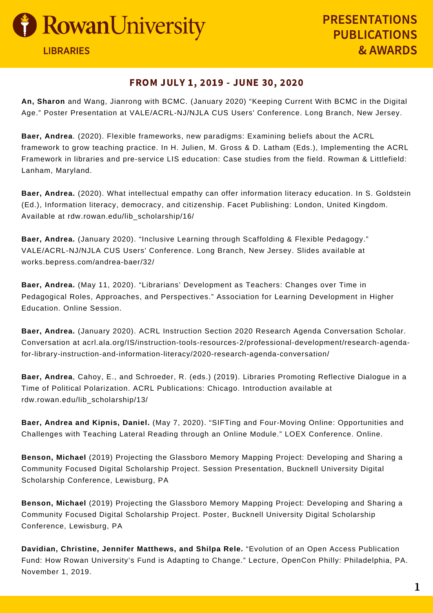

## FROM JULY 1, 2019 - JUNE 30, 2020

**An, Sharon** and Wang, Jianrong with BCMC. (January 2020) "Keeping Current With BCMC in the Digital Age." Poster Presentation at VALE/ACRL-NJ/NJLA CUS Users' Conference. Long Branch, New Jersey.

**Baer, Andrea**. (2020). Flexible frameworks, new paradigms: Examining beliefs about the ACRL framework to grow teaching practice. In H. Julien, M. Gross & D. Latham (Eds.), Implementing the ACRL Framework in libraries and pre-service LIS education: Case studies from the field. Rowman & Littlefield: Lanham, Maryland.

**Baer, Andrea.** (2020). What intellectual empathy can offer information literacy education. In S. Goldstein (Ed.), Information literacy, democracy, and citizenship. Facet Publishing: London, United Kingdom. Available at rdw.rowan.edu/lib\_scholarship/16/

**Baer, Andrea.** (January 2020). "Inclusive Learning through Scaffolding & Flexible Pedagogy." VALE/ACRL-NJ/NJLA CUS Users' Conference. Long Branch, New Jersey. Slides available at works.bepress.com/andrea-baer/32/

**Baer, Andrea.** (May 11, 2020). "Librarians' Development as Teachers: Changes over Time in Pedagogical Roles, Approaches, and Perspectives." Association for Learning Development in Higher Education. Online Session.

**Baer, Andrea.** (January 2020). ACRL Instruction Section 2020 Research Agenda Conversation Scholar. Conversation at acrl.ala.org/IS/instruction-tools-resources-2/professional-development/research-agendafor-library-instruction-and-information-literacy/2020-research-agenda-conversation/

**Baer, Andrea**, Cahoy, E., and Schroeder, R. (eds.) (2019). Libraries Promoting Reflective Dialogue in a Time of Political Polarization. ACRL Publications: Chicago. Introduction available at rdw.rowan.edu/lib\_scholarship/13/

**Baer, Andrea and Kipnis, Daniel.** (May 7, 2020). "SIFTing and Four-Moving Online: Opportunities and Challenges with Teaching Lateral Reading through an Online Module." LOEX Conference. Online.

**Benson, Michael** (2019) Projecting the Glassboro Memory Mapping Project: Developing and Sharing a Community Focused Digital Scholarship Project. Session Presentation, Bucknell University Digital Scholarship Conference, Lewisburg, PA

**Benson, Michael** (2019) Projecting the Glassboro Memory Mapping Project: Developing and Sharing a Community Focused Digital Scholarship Project. Poster, Bucknell University Digital Scholarship Conference, Lewisburg, PA

**Davidian, Christine, Jennifer Matthews, and Shilpa Rele.** "Evolution of an Open Access Publication Fund: How Rowan University's Fund is Adapting to Change." Lecture, OpenCon Philly: Philadelphia, PA. November 1, 2019.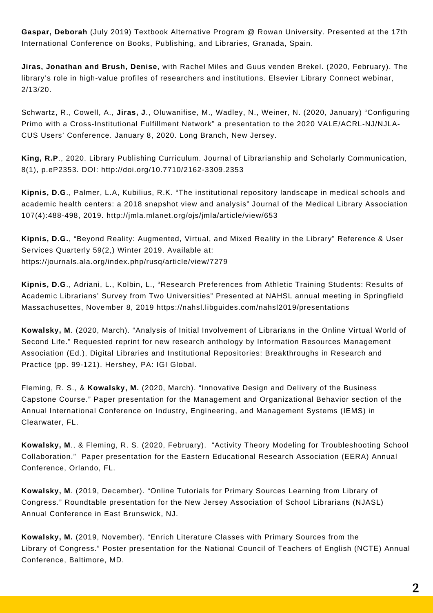**Gaspar, Deborah** (July 2019) Textbook Alternative Program @ Rowan University. Presented at the 17th International Conference on Books, Publishing, and Libraries, Granada, Spain.

**Jiras, Jonathan and Brush, Denise**, with Rachel Miles and Guus venden Brekel. (2020, February). The library's role in high-value profiles of researchers and institutions. Elsevier Library Connect webinar, 2/13/20.

Schwartz, R., Cowell, A., **Jiras, J**., Oluwanifise, M., Wadley, N., Weiner, N. (2020, January) "Configuring Primo with a Cross-Institutional Fulfillment Network" a presentation to the 2020 VALE/ACRL-NJ/NJLA-CUS Users' Conference. January 8, 2020. Long Branch, New Jersey.

**King, R.P**., 2020. Library Publishing Curriculum. Journal of Librarianship and Scholarly Communication, 8(1), p.eP2353. DOI: http://doi.org/10.7710/2162-3309.2353

**Kipnis, D.G**., Palmer, L.A, Kubilius, R.K. "The institutional repository landscape in medical schools and academic health centers: a 2018 snapshot view and analysis" Journal of the Medical Library Association 107(4):488-498, 2019. http://jmla.mlanet.org/ojs/jmla/article/view/653

**Kipnis, D.G.**, "Beyond Reality: Augmented, Virtual, and Mixed Reality in the Library" Reference & User Services Quarterly 59(2,) Winter 2019. Available at: https://journals.ala.org/index.php/rusq/article/view/7279

**Kipnis, D.G**., Adriani, L., Kolbin, L., "Research Preferences from Athletic Training Students: Results of Academic Librarians' Survey from Two Universities" Presented at NAHSL annual meeting in Springfield Massachusettes, November 8, 2019 https://nahsl.libguides.com/nahsl2019/presentations

**Kowalsky, M**. (2020, March). "Analysis of Initial Involvement of Librarians in the Online Virtual World of Second Life." Requested reprint for new research anthology by Information Resources Management Association (Ed.), Digital Libraries and Institutional Repositories: Breakthroughs in Research and Practice (pp. 99-121). Hershey, PA: IGI Global.

Fleming, R. S., & **Kowalsky, M.** (2020, March). "Innovative Design and Delivery of the Business Capstone Course." Paper presentation for the Management and Organizational Behavior section of the Annual International Conference on Industry, Engineering, and Management Systems (IEMS) in Clearwater, FL.

**Kowalsky, M**., & Fleming, R. S. (2020, February). "Activity Theory Modeling for Troubleshooting School Collaboration." Paper presentation for the Eastern Educational Research Association (EERA) Annual Conference, Orlando, FL.

**Kowalsky, M**. (2019, December). "Online Tutorials for Primary Sources Learning from Library of Congress." Roundtable presentation for the New Jersey Association of School Librarians (NJASL) Annual Conference in East Brunswick, NJ.

**Kowalsky, M.** (2019, November). "Enrich Literature Classes with Primary Sources from the Library of Congress." Poster presentation for the National Council of Teachers of English (NCTE) Annual Conference, Baltimore, MD.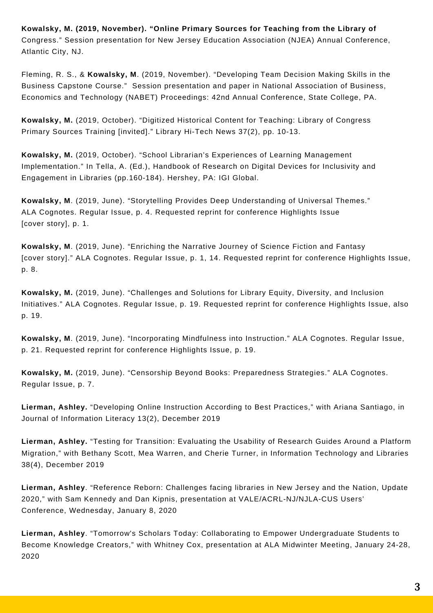**Kowalsky, M. (2019, November). "Online Primary Sources for Teaching from the Library of** Congress." Session presentation for New Jersey Education Association (NJEA) Annual Conference, Atlantic City, NJ.

Fleming, R. S., & **Kowalsky, M**. (2019, November). "Developing Team Decision Making Skills in the Business Capstone Course." Session presentation and paper in National Association of Business, Economics and Technology (NABET) Proceedings: 42nd Annual Conference, State College, PA.

**Kowalsky, M.** (2019, October). "Digitized Historical Content for Teaching: Library of Congress Primary Sources Training [invited]." Library Hi-Tech News 37(2), pp. 10-13.

**Kowalsky, M.** (2019, October). "School Librarian's Experiences of Learning Management Implementation." In Tella, A. (Ed.), Handbook of Research on Digital Devices for Inclusivity and Engagement in Libraries (pp.160-184). Hershey, PA: IGI Global.

**Kowalsky, M**. (2019, June). "Storytelling Provides Deep Understanding of Universal Themes." ALA Cognotes. Regular Issue, p. 4. Requested reprint for conference Highlights Issue [cover story], p. 1.

**Kowalsky, M**. (2019, June). "Enriching the Narrative Journey of Science Fiction and Fantasy [cover story]." ALA Cognotes. Regular Issue, p. 1, 14. Requested reprint for conference Highlights Issue, p. 8.

**Kowalsky, M.** (2019, June). "Challenges and Solutions for Library Equity, Diversity, and Inclusion Initiatives." ALA Cognotes. Regular Issue, p. 19. Requested reprint for conference Highlights Issue, also p. 19.

**Kowalsky, M**. (2019, June). "Incorporating Mindfulness into Instruction." ALA Cognotes. Regular Issue, p. 21. Requested reprint for conference Highlights Issue, p. 19.

**Kowalsky, M.** (2019, June). "Censorship Beyond Books: Preparedness Strategies." ALA Cognotes. Regular Issue, p. 7.

**Lierman, Ashley.** "Developing Online Instruction According to Best Practices," with Ariana Santiago, in Journal of Information Literacy 13(2), December 2019

**Lierman, Ashley.** "Testing for Transition: Evaluating the Usability of Research Guides Around a Platform Migration," with Bethany Scott, Mea Warren, and Cherie Turner, in Information Technology and Libraries 38(4), December 2019

**Lierman, Ashley**. "Reference Reborn: Challenges facing libraries in New Jersey and the Nation, Update 2020," with Sam Kennedy and Dan Kipnis, presentation at VALE/ACRL-NJ/NJLA-CUS Users' Conference, Wednesday, January 8, 2020

**Lierman, Ashley**. "Tomorrow's Scholars Today: Collaborating to Empower Undergraduate Students to Become Knowledge Creators," with Whitney Cox, presentation at ALA Midwinter Meeting, January 24-28, 2020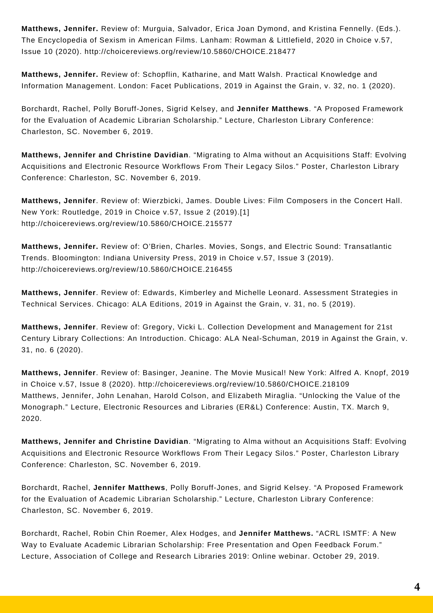**Matthews, Jennifer.** Review of: Murguia, Salvador, Erica Joan Dymond, and Kristina Fennelly. (Eds.). The Encyclopedia of Sexism in American Films. Lanham: Rowman & Littlefield, 2020 in Choice v.57, Issue 10 (2020). http://choicereviews.org/review/10.5860/CHOICE.218477

**Matthews, Jennifer.** Review of: Schopflin, Katharine, and Matt Walsh. Practical Knowledge and Information Management. London: Facet Publications, 2019 in Against the Grain, v. 32, no. 1 (2020).

Borchardt, Rachel, Polly Boruff-Jones, Sigrid Kelsey, and **Jennifer Matthews**. "A Proposed Framework for the Evaluation of Academic Librarian Scholarship." Lecture, Charleston Library Conference: Charleston, SC. November 6, 2019.

**Matthews, Jennifer and Christine Davidian**. "Migrating to Alma without an Acquisitions Staff: Evolving Acquisitions and Electronic Resource Workflows From Their Legacy Silos." Poster, Charleston Library Conference: Charleston, SC. November 6, 2019.

**Matthews, Jennifer**. Review of: Wierzbicki, James. Double Lives: Film Composers in the Concert Hall. New York: Routledge, 2019 in Choice v.57, Issue 2 (2019).[1] http://choicereviews.org/review/10.5860/CHOICE.215577

**Matthews, Jennifer.** Review of: O'Brien, Charles. Movies, Songs, and Electric Sound: Transatlantic Trends. Bloomington: Indiana University Press, 2019 in Choice v.57, Issue 3 (2019). http://choicereviews.org/review/10.5860/CHOICE.216455

**Matthews, Jennifer**. Review of: Edwards, Kimberley and Michelle Leonard. Assessment Strategies in Technical Services. Chicago: ALA Editions, 2019 in Against the Grain, v. 31, no. 5 (2019).

**Matthews, Jennifer**. Review of: Gregory, Vicki L. Collection Development and Management for 21st Century Library Collections: An Introduction. Chicago: ALA Neal-Schuman, 2019 in Against the Grain, v. 31, no. 6 (2020).

**Matthews, Jennifer**. Review of: Basinger, Jeanine. The Movie Musical! New York: Alfred A. Knopf, 2019 in Choice v.57, Issue 8 (2020). http://choicereviews.org/review/10.5860/CHOICE.218109 Matthews, Jennifer, John Lenahan, Harold Colson, and Elizabeth Miraglia. "Unlocking the Value of the Monograph." Lecture, Electronic Resources and Libraries (ER&L) Conference: Austin, TX. March 9, 2020.

**Matthews, Jennifer and Christine Davidian**. "Migrating to Alma without an Acquisitions Staff: Evolving Acquisitions and Electronic Resource Workflows From Their Legacy Silos." Poster, Charleston Library Conference: Charleston, SC. November 6, 2019.

Borchardt, Rachel, **Jennifer Matthews**, Polly Boruff-Jones, and Sigrid Kelsey. "A Proposed Framework for the Evaluation of Academic Librarian Scholarship." Lecture, Charleston Library Conference: Charleston, SC. November 6, 2019.

Borchardt, Rachel, Robin Chin Roemer, Alex Hodges, and **Jennifer Matthews.** "ACRL ISMTF: A New Way to Evaluate Academic Librarian Scholarship: Free Presentation and Open Feedback Forum." Lecture, Association of College and Research Libraries 2019: Online webinar. October 29, 2019.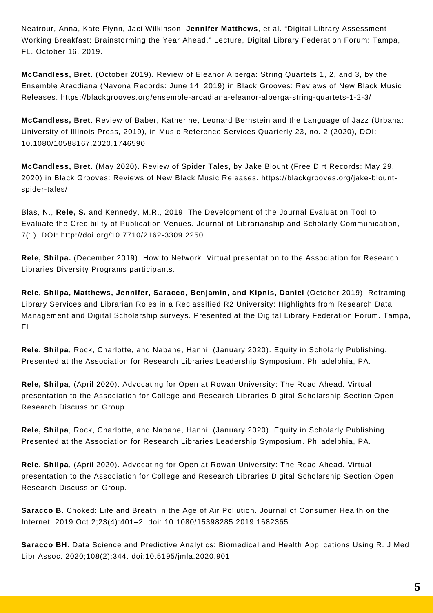Neatrour, Anna, Kate Flynn, Jaci Wilkinson, **Jennifer Matthews**, et al. "Digital Library Assessment Working Breakfast: Brainstorming the Year Ahead." Lecture, Digital Library Federation Forum: Tampa, FL. October 16, 2019.

**McCandless, Bret.** (October 2019). Review of Eleanor Alberga: String Quartets 1, 2, and 3, by the Ensemble Aracdiana (Navona Records: June 14, 2019) in Black Grooves: Reviews of New Black Music Releases. https://blackgrooves.org/ensemble-arcadiana-eleanor-alberga-string-quartets-1-2-3/

**McCandless, Bret**. Review of Baber, Katherine, Leonard Bernstein and the Language of Jazz (Urbana: University of Illinois Press, 2019), in Music Reference Services Quarterly 23, no. 2 (2020), DOI: 10.1080/10588167.2020.1746590

**McCandless, Bret.** (May 2020). Review of Spider Tales, by Jake Blount (Free Dirt Records: May 29, 2020) in Black Grooves: Reviews of New Black Music Releases. https://blackgrooves.org/jake-blountspider-tales/

Blas, N., **Rele, S.** and Kennedy, M.R., 2019. The Development of the Journal Evaluation Tool to Evaluate the Credibility of Publication Venues. Journal of Librarianship and Scholarly Communication, 7(1). DOI: http://doi.org/10.7710/2162-3309.2250

**Rele, Shilpa.** (December 2019). How to Network. Virtual presentation to the Association for Research Libraries Diversity Programs participants.

**Rele, Shilpa, Matthews, Jennifer, Saracco, Benjamin, and Kipnis, Daniel** (October 2019). Reframing Library Services and Librarian Roles in a Reclassified R2 University: Highlights from Research Data Management and Digital Scholarship surveys. Presented at the Digital Library Federation Forum. Tampa, FL.

**Rele, Shilpa**, Rock, Charlotte, and Nabahe, Hanni. (January 2020). Equity in Scholarly Publishing. Presented at the Association for Research Libraries Leadership Symposium. Philadelphia, PA.

**Rele, Shilpa**, (April 2020). Advocating for Open at Rowan University: The Road Ahead. Virtual presentation to the Association for College and Research Libraries Digital Scholarship Section Open Research Discussion Group.

**Rele, Shilpa**, Rock, Charlotte, and Nabahe, Hanni. (January 2020). Equity in Scholarly Publishing. Presented at the Association for Research Libraries Leadership Symposium. Philadelphia, PA.

**Rele, Shilpa**, (April 2020). Advocating for Open at Rowan University: The Road Ahead. Virtual presentation to the Association for College and Research Libraries Digital Scholarship Section Open Research Discussion Group.

**Saracco B**. Choked: Life and Breath in the Age of Air Pollution. Journal of Consumer Health on the Internet. 2019 Oct 2;23(4):401–2. doi: 10.1080/15398285.2019.1682365

**Saracco BH**. Data Science and Predictive Analytics: Biomedical and Health Applications Using R. J Med Libr Assoc. 2020;108(2):344. doi:10.5195/jmla.2020.901